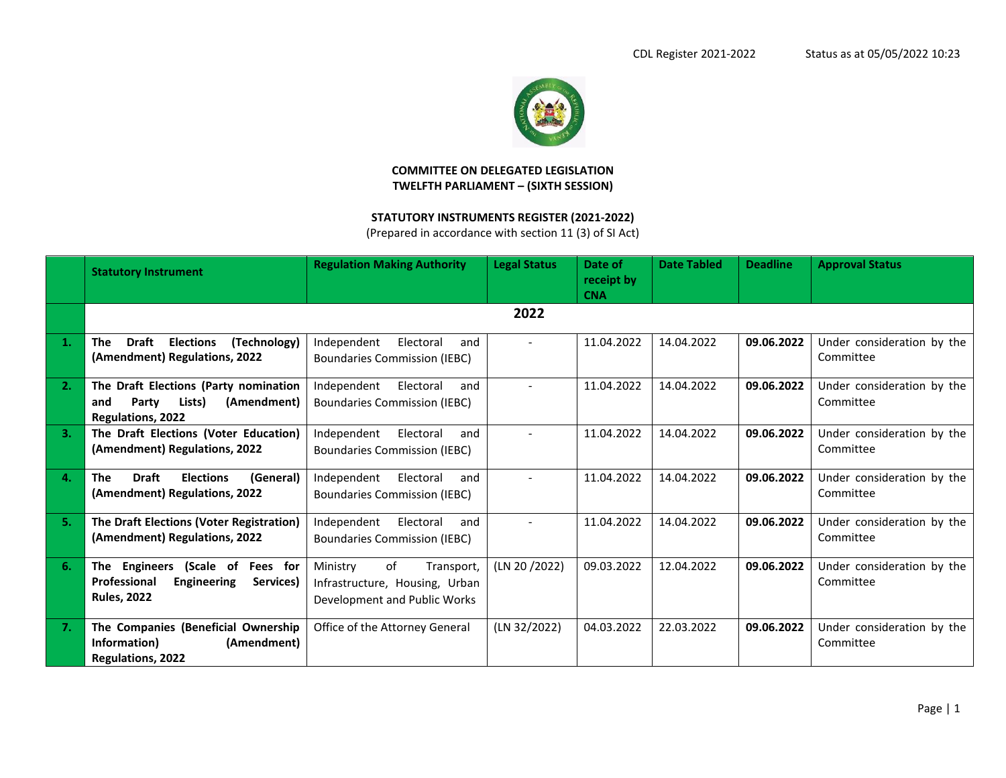

## **COMMITTEE ON DELEGATED LEGISLATION TWELFTH PARLIAMENT – (SIXTH SESSION)**

## **STATUTORY INSTRUMENTS REGISTER (2021-2022)**

(Prepared in accordance with section 11 (3) of SI Act)

|    | <b>Statutory Instrument</b>                                                                                     | <b>Regulation Making Authority</b>                                                             | <b>Legal Status</b> | Date of<br>receipt by<br><b>CNA</b> | <b>Date Tabled</b> | <b>Deadline</b> | <b>Approval Status</b>                  |
|----|-----------------------------------------------------------------------------------------------------------------|------------------------------------------------------------------------------------------------|---------------------|-------------------------------------|--------------------|-----------------|-----------------------------------------|
|    |                                                                                                                 |                                                                                                | 2022                |                                     |                    |                 |                                         |
| 1. | <b>Draft</b><br><b>Elections</b><br>(Technology)<br>The<br>(Amendment) Regulations, 2022                        | Independent<br>Electoral<br>and<br><b>Boundaries Commission (IEBC)</b>                         |                     | 11.04.2022                          | 14.04.2022         | 09.06.2022      | Under consideration by the<br>Committee |
| 2. | The Draft Elections (Party nomination<br>Party<br>Lists)<br>(Amendment)<br>and<br>Regulations, 2022             | Independent<br>Electoral<br>and<br><b>Boundaries Commission (IEBC)</b>                         |                     | 11.04.2022                          | 14.04.2022         | 09.06.2022      | Under consideration by the<br>Committee |
| 3. | The Draft Elections (Voter Education)<br>(Amendment) Regulations, 2022                                          | Independent<br>Electoral<br>and<br><b>Boundaries Commission (IEBC)</b>                         |                     | 11.04.2022                          | 14.04.2022         | 09.06.2022      | Under consideration by the<br>Committee |
| 4. | <b>Draft</b><br><b>Elections</b><br>(General)<br><b>The</b><br>(Amendment) Regulations, 2022                    | Independent<br>Electoral<br>and<br><b>Boundaries Commission (IEBC)</b>                         |                     | 11.04.2022                          | 14.04.2022         | 09.06.2022      | Under consideration by the<br>Committee |
| 5. | The Draft Elections (Voter Registration)<br>(Amendment) Regulations, 2022                                       | Electoral<br>Independent<br>and<br><b>Boundaries Commission (IEBC)</b>                         |                     | 11.04.2022                          | 14.04.2022         | 09.06.2022      | Under consideration by the<br>Committee |
| 6. | The Engineers<br>(Scale of<br>Fees for<br>Professional<br><b>Engineering</b><br>Services)<br><b>Rules, 2022</b> | of<br>Ministry<br>Transport,<br>Infrastructure, Housing, Urban<br>Development and Public Works | (LN 20/2022)        | 09.03.2022                          | 12.04.2022         | 09.06.2022      | Under consideration by the<br>Committee |
| 7. | The Companies (Beneficial Ownership<br>Information)<br>(Amendment)<br><b>Regulations, 2022</b>                  | Office of the Attorney General                                                                 | (LN 32/2022)        | 04.03.2022                          | 22.03.2022         | 09.06.2022      | Under consideration by the<br>Committee |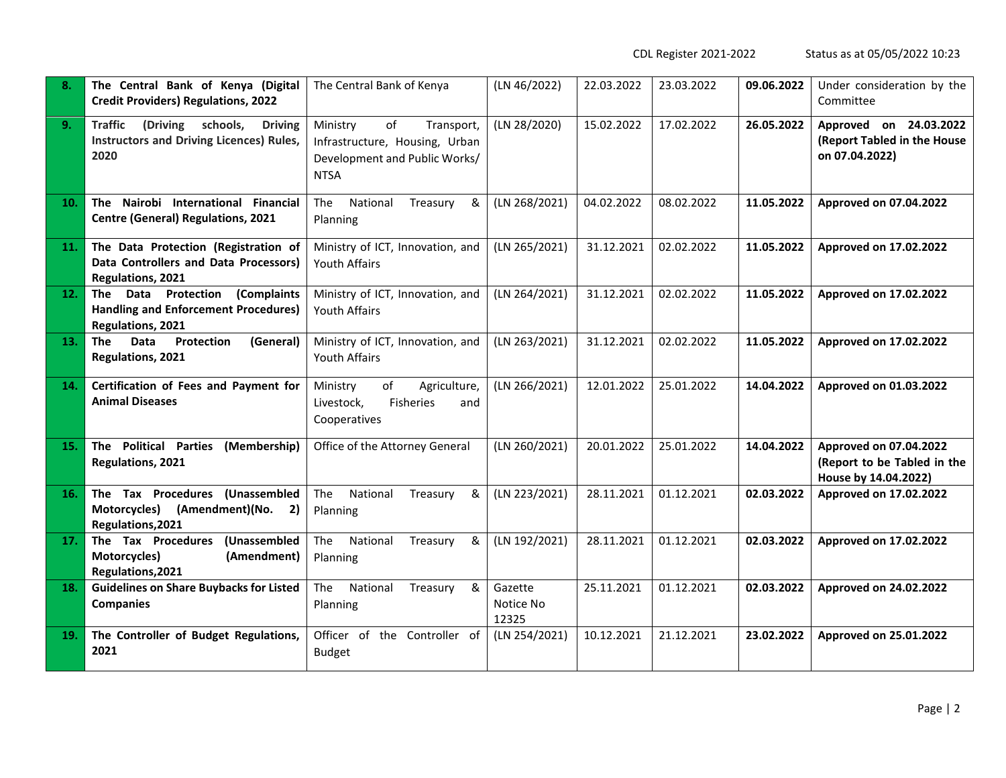CDL Register 2021-2022 Status as at 05/05/2022 10:23

| 8.         | The Central Bank of Kenya (Digital<br><b>Credit Providers) Regulations, 2022</b>                             | The Central Bank of Kenya                                                                                      | (LN 46/2022)                  | 22.03.2022 | 23.03.2022 | 09.06.2022 | Under consideration by the<br>Committee                                       |
|------------|--------------------------------------------------------------------------------------------------------------|----------------------------------------------------------------------------------------------------------------|-------------------------------|------------|------------|------------|-------------------------------------------------------------------------------|
| 9.         | schools,<br><b>Traffic</b><br>(Driving<br><b>Driving</b><br>Instructors and Driving Licences) Rules,<br>2020 | of<br>Ministry<br>Transport,<br>Infrastructure, Housing, Urban<br>Development and Public Works/<br><b>NTSA</b> | (LN 28/2020)                  | 15.02.2022 | 17.02.2022 | 26.05.2022 | Approved on 24.03.2022<br>(Report Tabled in the House<br>on 07.04.2022)       |
| 10.        | Nairobi International Financial<br>The<br><b>Centre (General) Regulations, 2021</b>                          | The<br>National<br>&<br>Treasury<br>Planning                                                                   | (LN 268/2021)                 | 04.02.2022 | 08.02.2022 | 11.05.2022 | Approved on 07.04.2022                                                        |
| <b>11.</b> | The Data Protection (Registration of<br>Data Controllers and Data Processors)<br>Regulations, 2021           | Ministry of ICT, Innovation, and<br>Youth Affairs                                                              | (LN 265/2021)                 | 31.12.2021 | 02.02.2022 | 11.05.2022 | Approved on 17.02.2022                                                        |
| 12.        | (Complaints<br>Data Protection<br>The<br><b>Handling and Enforcement Procedures)</b><br>Regulations, 2021    | Ministry of ICT, Innovation, and<br>Youth Affairs                                                              | (LN 264/2021)                 | 31.12.2021 | 02.02.2022 | 11.05.2022 | Approved on 17.02.2022                                                        |
| 13.        | Data<br>Protection<br>(General)<br>The<br>Regulations, 2021                                                  | Ministry of ICT, Innovation, and<br>Youth Affairs                                                              | (LN 263/2021)                 | 31.12.2021 | 02.02.2022 | 11.05.2022 | Approved on 17.02.2022                                                        |
| 14.        | Certification of Fees and Payment for<br><b>Animal Diseases</b>                                              | of<br>Ministry<br>Agriculture,<br>Livestock,<br>Fisheries<br>and<br>Cooperatives                               | (LN 266/2021)                 | 12.01.2022 | 25.01.2022 | 14.04.2022 | Approved on 01.03.2022                                                        |
| 15.        | The Political Parties<br>(Membership)<br>Regulations, 2021                                                   | Office of the Attorney General                                                                                 | (LN 260/2021)                 | 20.01.2022 | 25.01.2022 | 14.04.2022 | Approved on 07.04.2022<br>(Report to be Tabled in the<br>House by 14.04.2022) |
| 16.        | The Tax Procedures (Unassembled<br>Motorcycles) (Amendment)(No. 2)<br>Regulations, 2021                      | The<br>National<br>Treasury<br>&<br>Planning                                                                   | (LN 223/2021)                 | 28.11.2021 | 01.12.2021 | 02.03.2022 | Approved on 17.02.2022                                                        |
| 17.        | The Tax Procedures<br>(Unassembled<br>Motorcycles)<br>(Amendment)<br>Regulations, 2021                       | National<br>The<br>&<br>Treasury<br>Planning                                                                   | (LN 192/2021)                 | 28.11.2021 | 01.12.2021 | 02.03.2022 | Approved on 17.02.2022                                                        |
| 18.        | <b>Guidelines on Share Buybacks for Listed</b><br><b>Companies</b>                                           | The<br>National<br>Treasury<br>&<br>Planning                                                                   | Gazette<br>Notice No<br>12325 | 25.11.2021 | 01.12.2021 | 02.03.2022 | Approved on 24.02.2022                                                        |
| 19.        | The Controller of Budget Regulations,<br>2021                                                                | Officer of the Controller of<br><b>Budget</b>                                                                  | (LN 254/2021)                 | 10.12.2021 | 21.12.2021 | 23.02.2022 | Approved on 25.01.2022                                                        |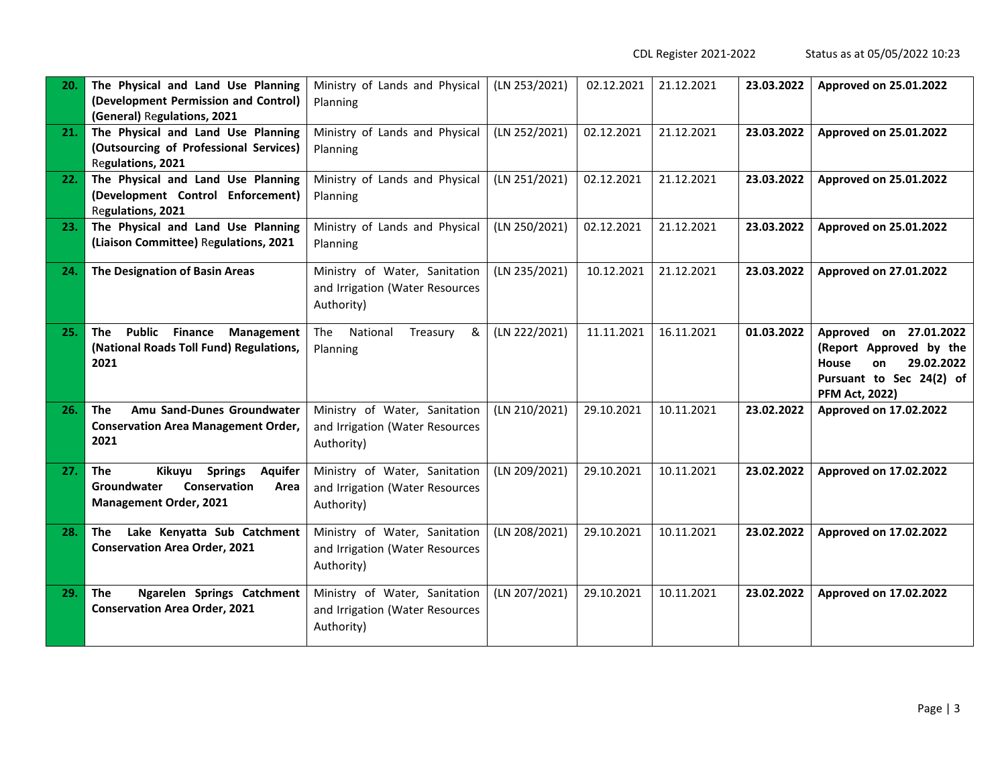CDL Register 2021-2022 Status as at 05/05/2022 10:23

| 20. | The Physical and Land Use Planning<br>(Development Permission and Control)<br>(General) Regulations, 2021                        | Ministry of Lands and Physical<br>Planning                                     | (LN 253/2021) | 02.12.2021 | 21.12.2021 | 23.03.2022 | Approved on 25.01.2022                                                                                                              |
|-----|----------------------------------------------------------------------------------------------------------------------------------|--------------------------------------------------------------------------------|---------------|------------|------------|------------|-------------------------------------------------------------------------------------------------------------------------------------|
| 21. | The Physical and Land Use Planning<br>(Outsourcing of Professional Services)<br>Regulations, 2021                                | Ministry of Lands and Physical<br>Planning                                     | (LN 252/2021) | 02.12.2021 | 21.12.2021 | 23.03.2022 | Approved on 25.01.2022                                                                                                              |
| 22. | The Physical and Land Use Planning<br>(Development Control Enforcement)<br>Regulations, 2021                                     | Ministry of Lands and Physical<br>Planning                                     | (LN 251/2021) | 02.12.2021 | 21.12.2021 | 23.03.2022 | Approved on 25.01.2022                                                                                                              |
| 23. | The Physical and Land Use Planning<br>(Liaison Committee) Regulations, 2021                                                      | Ministry of Lands and Physical<br>Planning                                     | (LN 250/2021) | 02.12.2021 | 21.12.2021 | 23.03.2022 | Approved on 25.01.2022                                                                                                              |
| 24. | The Designation of Basin Areas                                                                                                   | Ministry of Water, Sanitation<br>and Irrigation (Water Resources<br>Authority) | (LN 235/2021) | 10.12.2021 | 21.12.2021 | 23.03.2022 | Approved on 27.01.2022                                                                                                              |
| 25. | <b>Public Finance</b><br><b>The</b><br>Management<br>(National Roads Toll Fund) Regulations,<br>2021                             | National<br>The<br>Treasury<br>&<br>Planning                                   | (LN 222/2021) | 11.11.2021 | 16.11.2021 | 01.03.2022 | Approved on 27.01.2022<br>(Report Approved by the<br>House<br>29.02.2022<br>on<br>Pursuant to Sec 24(2) of<br><b>PFM Act, 2022)</b> |
| 26. | Amu Sand-Dunes Groundwater<br><b>The</b><br><b>Conservation Area Management Order,</b><br>2021                                   | Ministry of Water, Sanitation<br>and Irrigation (Water Resources<br>Authority) | (LN 210/2021) | 29.10.2021 | 10.11.2021 | 23.02.2022 | Approved on 17.02.2022                                                                                                              |
| 27. | Kikuyu<br><b>Springs</b><br><b>The</b><br><b>Aquifer</b><br>Groundwater<br>Conservation<br>Area<br><b>Management Order, 2021</b> | Ministry of Water, Sanitation<br>and Irrigation (Water Resources<br>Authority) | (LN 209/2021) | 29.10.2021 | 10.11.2021 | 23.02.2022 | Approved on 17.02.2022                                                                                                              |
| 28. | Lake Kenyatta Sub Catchment<br>The<br><b>Conservation Area Order, 2021</b>                                                       | Ministry of Water, Sanitation<br>and Irrigation (Water Resources<br>Authority) | (LN 208/2021) | 29.10.2021 | 10.11.2021 | 23.02.2022 | Approved on 17.02.2022                                                                                                              |
| 29. | <b>The</b><br>Ngarelen Springs Catchment<br><b>Conservation Area Order, 2021</b>                                                 | Ministry of Water, Sanitation<br>and Irrigation (Water Resources<br>Authority) | (LN 207/2021) | 29.10.2021 | 10.11.2021 | 23.02.2022 | Approved on 17.02.2022                                                                                                              |